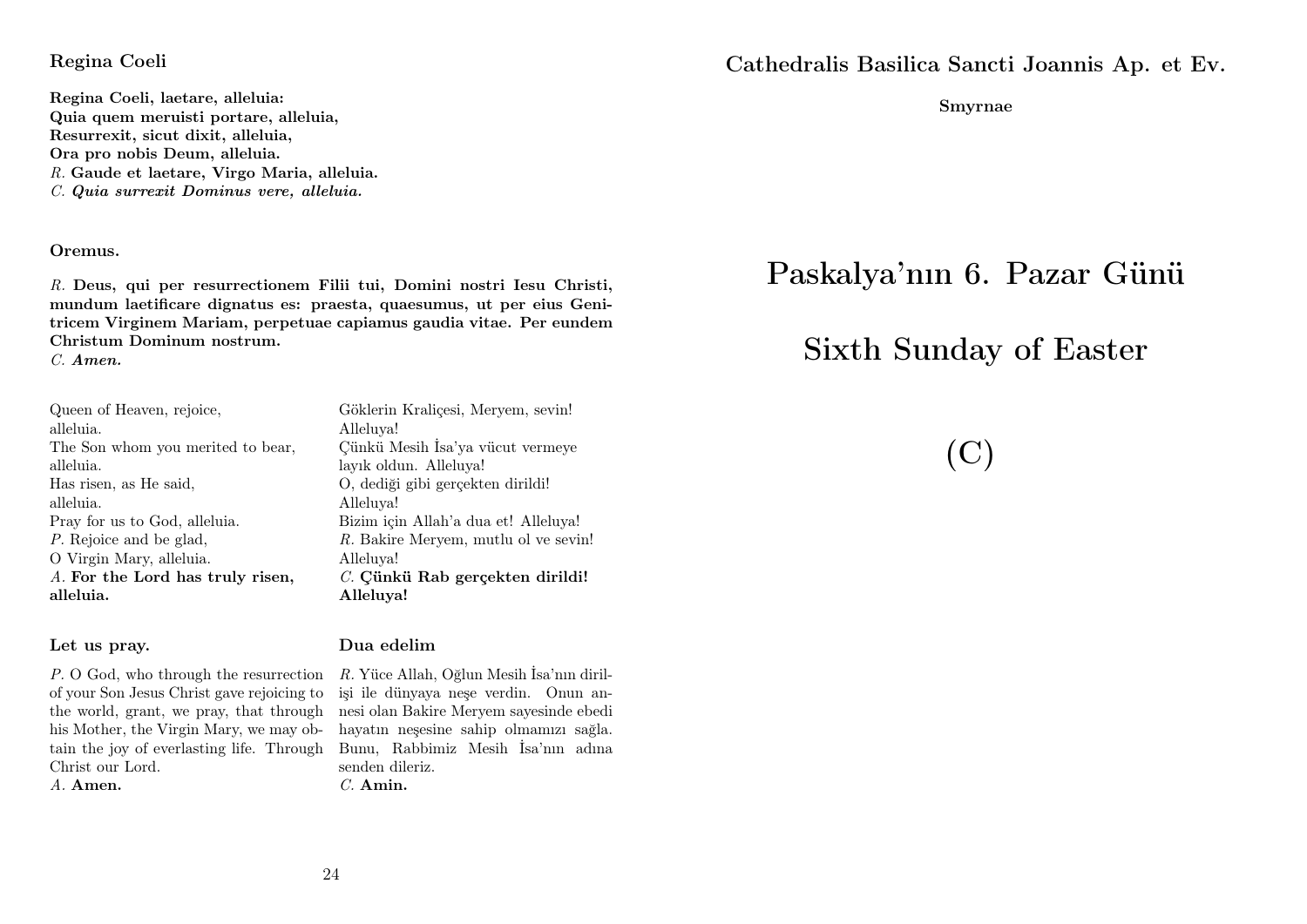#### Regina Coeli

Regina Coeli, laetare, alleluia: Quia quem meruisti portare, alleluia, Resurrexit, sicut dixit, alleluia, Ora pro nobis Deum, alleluia. R. Gaude et laetare, Virgo Maria, alleluia. C. Quia surrexit Dominus vere, alleluia.

#### Oremus.

R. Deus, qui per resurrectionem Filii tui, Domini nostri Iesu Christi, mundum laetificare dignatus es: praesta, quaesumus, ut per eius Genitricem Virginem Mariam, perpetuae capiamus gaudia vitae. Per eundem Christum Dominum nostrum.

C. Amen.

| Queen of Heaven, rejoice,         |
|-----------------------------------|
| alleluia.                         |
| The Son whom you merited to bear, |
| alleluia.                         |
| Has risen, as He said,            |
| alleluia.                         |
| Pray for us to God, alleluia.     |
| P. Rejoice and be glad,           |
| O Virgin Mary, alleluia.          |
| A. For the Lord has truly risen,  |
| alleluia.                         |

#### Let us pray.

P. O God, who through the resurrection R. Yüce Allah, Oğlun Mesih İsa'nın dirilof your Son Jesus Christ gave rejoicing to the world, grant, we pray, that through nesi olan Bakire Meryem sayesinde ebedi his Mother, the Virgin Mary, we may obtain the joy of everlasting life. Through Bunu, Rabbimiz Mesih İsa'nın adına Christ our Lord. A. Amen.

Alleluya! Çünkü Mesih İsa'ya vücut vermeye layık oldun. Alleluya! O, dediği gibi gerçekten dirildi! Alleluya! Bizim için Allah'a dua et! Alleluya! R. Bakire Meryem, mutlu ol ve sevin! Alleluya! C. Cünkü Rab gerçekten dirildi! Alleluya!

Göklerin Kraliçesi, Meryem, sevin!

#### Dua edelim

işi ile dünyaya neşe verdin. Onun anhayatın neşesine sahip olmamızı sağla. senden dileriz. C. Amin.

Cathedralis Basilica Sancti Joannis Ap. et Ev.

Smyrnae

# Paskalya'nın 6. Pazar Günü

# Sixth Sunday of Easter

(C)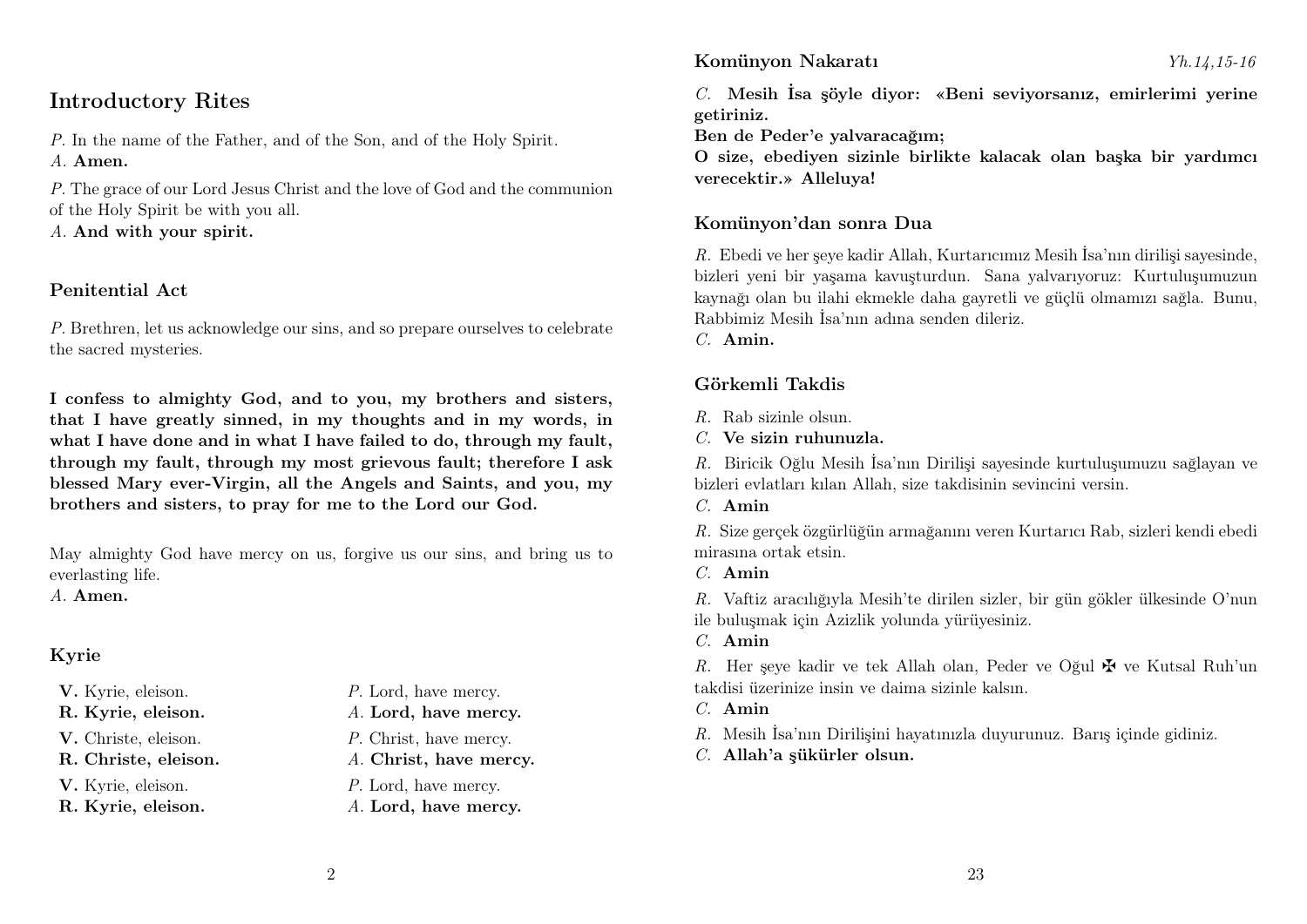# Introductory Rites

P. In the name of the Father, and of the Son, and of the Holy Spirit. A. Amen.

P. The grace of our Lord Jesus Christ and the love of God and the communion of the Holy Spirit be with you all.

A. And with your spirit.

#### Penitential Act

P. Brethren, let us acknowledge our sins, and so prepare ourselves to celebrate the sacred mysteries.

I confess to almighty God, and to you, my brothers and sisters, that I have greatly sinned, in my thoughts and in my words, in what I have done and in what I have failed to do, through my fault, through my fault, through my most grievous fault; therefore I ask blessed Mary ever-Virgin, all the Angels and Saints, and you, my brothers and sisters, to pray for me to the Lord our God.

May almighty God have mercy on us, forgive us our sins, and bring us to everlasting life.

A. Amen.

# Kyrie

- 
- 
- 
- 

- V. Kyrie, eleison.  $P.$  Lord, have mercy.
- R. Kyrie, eleison. A. Lord, have mercy.
- V. Christe, eleison. P. Christ, have mercy.
- R. Christe, eleison. A. Christ, have mercy.
- V. Kyrie, eleison.  $P$ . Lord, have mercy.
- R. Kyrie, eleison. A. Lord, have mercy.

#### Komünyon Nakaratı Yh.14,15-16

C. Mesih İsa şöyle diyor: «Beni seviyorsanız, emirlerimi yerine getiriniz.

Ben de Peder'e yalvaracağım;

O size, ebediyen sizinle birlikte kalacak olan başka bir yardımcı verecektir.» Alleluya!

#### Komünyon'dan sonra Dua

R. Ebedi ve her şeye kadir Allah, Kurtarıcımız Mesih İsa'nın dirilişi sayesinde, bizleri yeni bir yaşama kavuşturdun. Sana yalvarıyoruz: Kurtuluşumuzun kaynağı olan bu ilahi ekmekle daha gayretli ve güçlü olmamızı sağla. Bunu, Rabbimiz Mesih İsa'nın adına senden dileriz.

C. Amin.

## Görkemli Takdis

- R. Rab sizinle olsun.
- C. Ve sizin ruhunuzla.

R. Biricik Oğlu Mesih İsa'nın Dirilişi sayesinde kurtuluşumuzu sağlayan ve bizleri evlatları kılan Allah, size takdisinin sevincini versin.

 $C$  Amin

R. Size gerçek özgürlüğün armağanını veren Kurtarıcı Rab, sizleri kendi ebedi mirasına ortak etsin.

C. Amin

R. Vaftiz aracılığıyla Mesih'te dirilen sizler, bir gün gökler ülkesinde O'nun ile buluşmak için Azizlik yolunda yürüyesiniz.

C. Amin

R. Her seye kadir ve tek Allah olan, Peder ve Oğul  $\mathbf{\Psi}$  ve Kutsal Ruh'un takdisi üzerinize insin ve daima sizinle kalsın.

- C. Amin
- R. Mesih İsa'nın Dirilişini hayatınızla duyurunuz. Barış içinde gidiniz.
- C. Allah'a şükürler olsun.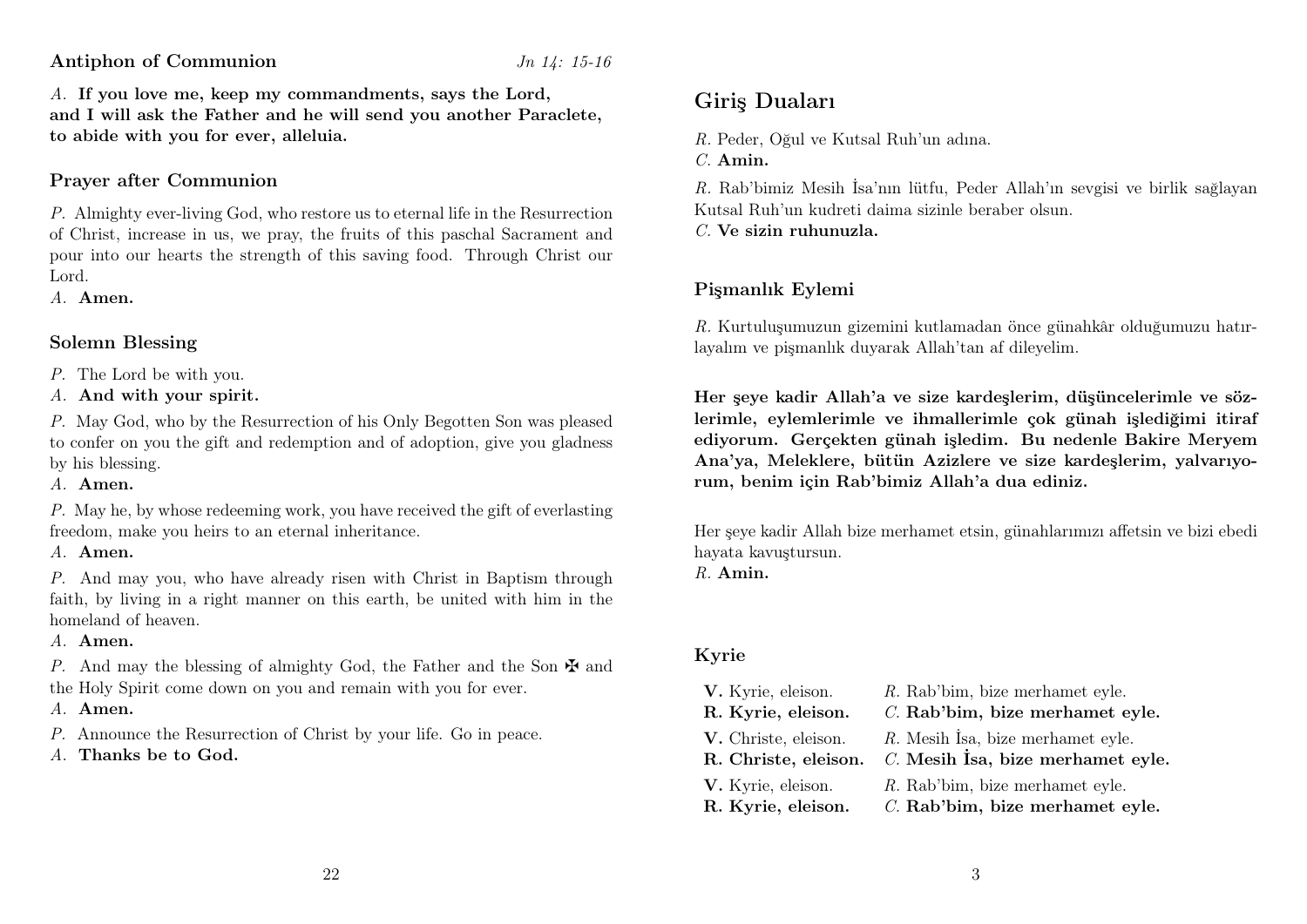#### Antiphon of Communion Jn 14: 15-16

A. If you love me, keep my commandments, says the Lord, and I will ask the Father and he will send you another Paraclete, to abide with you for ever, alleluia.

#### Prayer after Communion

P. Almighty ever-living God, who restore us to eternal life in the Resurrection of Christ, increase in us, we pray, the fruits of this paschal Sacrament and pour into our hearts the strength of this saving food. Through Christ our Lord.

A. Amen.

#### Solemn Blessing

- P. The Lord be with you.
- A. And with your spirit.

P. May God, who by the Resurrection of his Only Begotten Son was pleased to confer on you the gift and redemption and of adoption, give you gladness by his blessing.

A. Amen.

P. May he, by whose redeeming work, you have received the gift of everlasting freedom, make you heirs to an eternal inheritance.

A. Amen.

P. And may you, who have already risen with Christ in Baptism through faith, by living in a right manner on this earth, be united with him in the homeland of heaven.

#### A. Amen.

P. And may the blessing of almighty God, the Father and the Son  $\mathbf{\nabla}$  and the Holy Spirit come down on you and remain with you for ever.

#### A. Amen.

- P. Announce the Resurrection of Christ by your life. Go in peace.
- A. Thanks be to God.

# Giriş Duaları

R. Peder, Oğul ve Kutsal Ruh'un adına.

C. Amin.

R. Rab'bimiz Mesih İsa'nın lütfu, Peder Allah'ın sevgisi ve birlik sağlayan Kutsal Ruh'un kudreti daima sizinle beraber olsun.

 $C$ . Ve sizin ruhunuzla.

# Pişmanlık Eylemi

R. Kurtuluşumuzun gizemini kutlamadan önce günahkâr olduğumuzu hatırlayalım ve pişmanlık duyarak Allah'tan af dileyelim.

Her şeye kadir Allah'a ve size kardeşlerim, düşüncelerimle ve sözlerimle, eylemlerimle ve ihmallerimle çok günah işlediğimi itiraf ediyorum. Gerçekten günah işledim. Bu nedenle Bakire Meryem Ana'ya, Meleklere, bütün Azizlere ve size kardeşlerim, yalvarıyorum, benim için Rab'bimiz Allah'a dua ediniz.

Her şeye kadir Allah bize merhamet etsin, günahlarımızı affetsin ve bizi ebedi hayata kavuştursun.

R. Amin.

### Kyrie

| V. Kyrie, eleison.   | R. Rab'bim, bize merhamet eyle.     |
|----------------------|-------------------------------------|
| R. Kyrie, eleison.   | C. Rab'bim, bize merhamet eyle.     |
| V. Christe, eleison. | R. Mesih İsa, bize merhamet eyle.   |
| R. Christe, eleison. | $C.$ Mesih Isa, bize merhamet eyle. |
| V. Kyrie, eleison.   | R. Rab'bim, bize merhamet eyle.     |
| R. Kyrie, eleison.   | C. Rab'bim, bize merhamet eyle.     |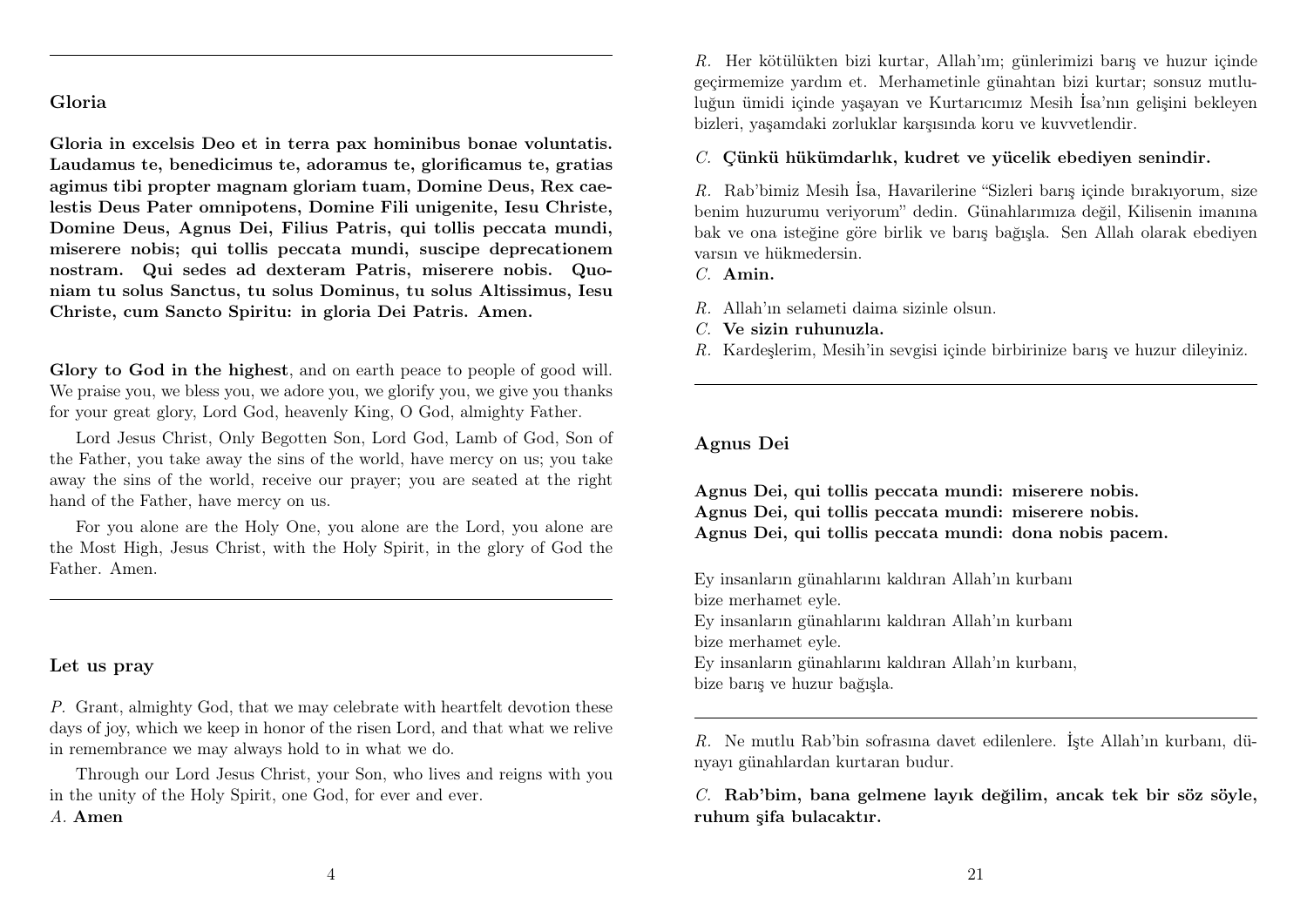#### Gloria

Gloria in excelsis Deo et in terra pax hominibus bonae voluntatis. Laudamus te, benedicimus te, adoramus te, glorificamus te, gratias agimus tibi propter magnam gloriam tuam, Domine Deus, Rex caelestis Deus Pater omnipotens, Domine Fili unigenite, Iesu Christe, Domine Deus, Agnus Dei, Filius Patris, qui tollis peccata mundi, miserere nobis; qui tollis peccata mundi, suscipe deprecationem nostram. Qui sedes ad dexteram Patris, miserere nobis. Quoniam tu solus Sanctus, tu solus Dominus, tu solus Altissimus, Iesu Christe, cum Sancto Spiritu: in gloria Dei Patris. Amen.

Glory to God in the highest, and on earth peace to people of good will. We praise you, we bless you, we adore you, we glorify you, we give you thanks for your great glory, Lord God, heavenly King, O God, almighty Father.

Lord Jesus Christ, Only Begotten Son, Lord God, Lamb of God, Son of the Father, you take away the sins of the world, have mercy on us; you take away the sins of the world, receive our prayer; you are seated at the right hand of the Father, have mercy on us.

For you alone are the Holy One, you alone are the Lord, you alone are the Most High, Jesus Christ, with the Holy Spirit, in the glory of God the Father. Amen.

#### Let us pray

P. Grant, almighty God, that we may celebrate with heartfelt devotion these days of joy, which we keep in honor of the risen Lord, and that what we relive in remembrance we may always hold to in what we do.

Through our Lord Jesus Christ, your Son, who lives and reigns with you in the unity of the Holy Spirit, one God, for ever and ever.

#### A. Amen

R. Her kötülükten bizi kurtar, Allah'ım; günlerimizi barış ve huzur içinde geçirmemize yardım et. Merhametinle günahtan bizi kurtar; sonsuz mutluluğun ümidi içinde yaşayan ve Kurtarıcımız Mesih İsa'nın gelişini bekleyen bizleri, yaşamdaki zorluklar karşısında koru ve kuvvetlendir.

C. Çünkü hükümdarlık, kudret ve yücelik ebediyen senindir.

R. Rab'bimiz Mesih İsa, Havarilerine "Sizleri barış içinde bırakıyorum, size benim huzurumu veriyorum" dedin. Günahlarımıza değil, Kilisenin imanına bak ve ona isteğine göre birlik ve barış bağışla. Sen Allah olarak ebediyen varsın ve hükmedersin.

C. Amin.

- R. Allah'ın selameti daima sizinle olsun.
- C. Ve sizin ruhunuzla.
- R. Kardeşlerim, Mesih'in sevgisi içinde birbirinize barış ve huzur dileyiniz.

#### Agnus Dei

Agnus Dei, qui tollis peccata mundi: miserere nobis. Agnus Dei, qui tollis peccata mundi: miserere nobis. Agnus Dei, qui tollis peccata mundi: dona nobis pacem.

Ey insanların günahlarını kaldıran Allah'ın kurbanı bize merhamet eyle.

Ey insanların günahlarını kaldıran Allah'ın kurbanı bize merhamet eyle.

Ey insanların günahlarını kaldıran Allah'ın kurbanı, bize barış ve huzur bağışla.

R. Ne mutlu Rab'bin sofrasına davet edilenlere. İşte Allah'ın kurbanı, dünyayı günahlardan kurtaran budur.

C. Rab'bim, bana gelmene layık değilim, ancak tek bir söz söyle, ruhum şifa bulacaktır.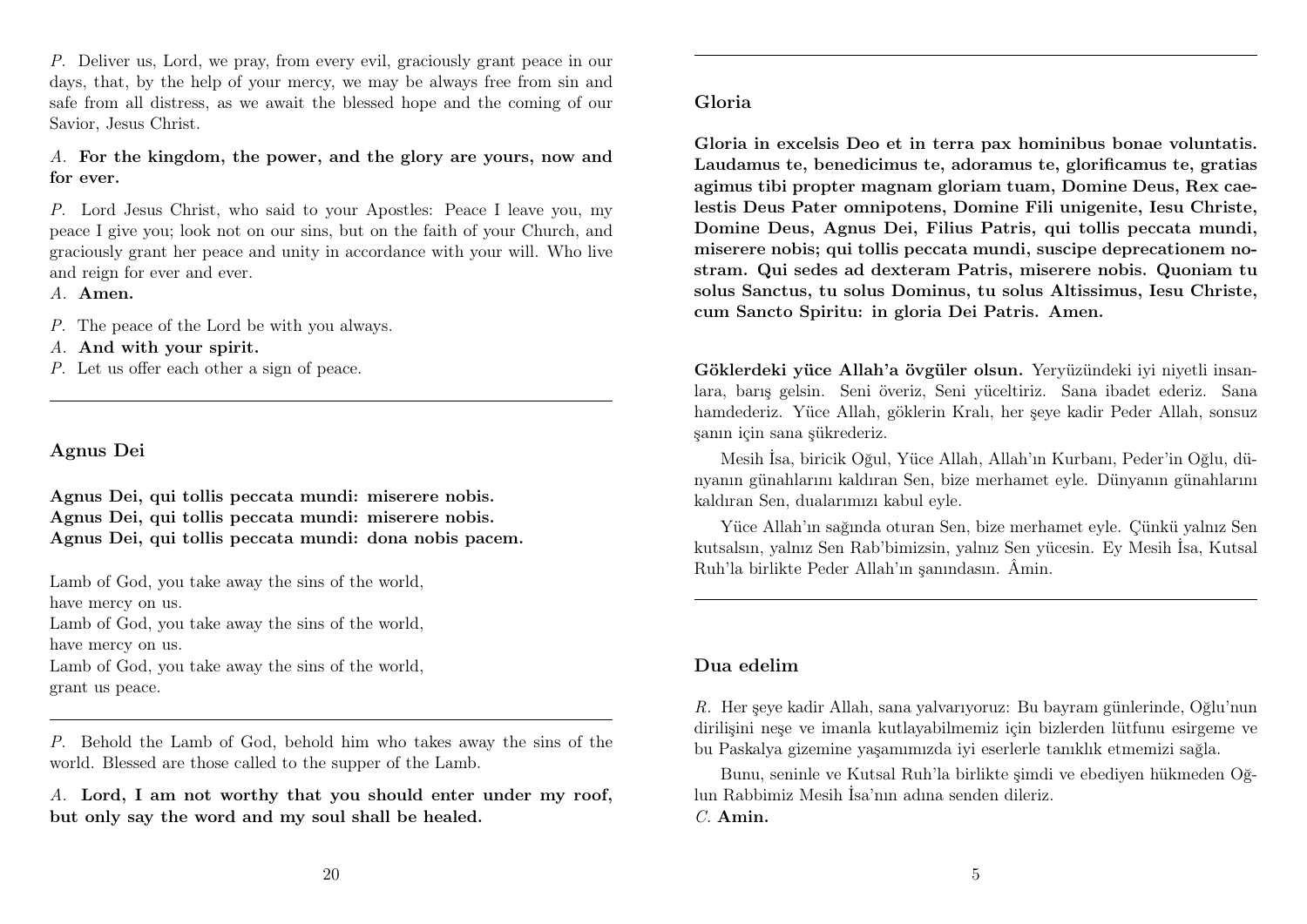P. Deliver us, Lord, we pray, from every evil, graciously grant peace in our days, that, by the help of your mercy, we may be always free from sin and safe from all distress, as we await the blessed hope and the coming of our Savior, Jesus Christ.

A. For the kingdom, the power, and the glory are yours, now and for ever.

P. Lord Jesus Christ, who said to your Apostles: Peace I leave you, my peace I give you; look not on our sins, but on the faith of your Church, and graciously grant her peace and unity in accordance with your will. Who live and reign for ever and ever.

A. Amen.

P. The peace of the Lord be with you always.

A. And with your spirit.

P. Let us offer each other a sign of peace.

#### Agnus Dei

Agnus Dei, qui tollis peccata mundi: miserere nobis. Agnus Dei, qui tollis peccata mundi: miserere nobis. Agnus Dei, qui tollis peccata mundi: dona nobis pacem.

Lamb of God, you take away the sins of the world, have mercy on us. Lamb of God, you take away the sins of the world, have mercy on us. Lamb of God, you take away the sins of the world, grant us peace.

P. Behold the Lamb of God, behold him who takes away the sins of the world. Blessed are those called to the supper of the Lamb.

A. Lord, I am not worthy that you should enter under my roof, but only say the word and my soul shall be healed.

Gloria in excelsis Deo et in terra pax hominibus bonae voluntatis. Laudamus te, benedicimus te, adoramus te, glorificamus te, gratias agimus tibi propter magnam gloriam tuam, Domine Deus, Rex caelestis Deus Pater omnipotens, Domine Fili unigenite, Iesu Christe, Domine Deus, Agnus Dei, Filius Patris, qui tollis peccata mundi, miserere nobis; qui tollis peccata mundi, suscipe deprecationem nostram. Qui sedes ad dexteram Patris, miserere nobis. Quoniam tu solus Sanctus, tu solus Dominus, tu solus Altissimus, Iesu Christe, cum Sancto Spiritu: in gloria Dei Patris. Amen.

Göklerdeki yüce Allah'a övgüler olsun. Yeryüzündeki iyi niyetli insanlara, barış gelsin. Seni överiz, Seni yüceltiriz. Sana ibadet ederiz. Sana hamdederiz. Yüce Allah, göklerin Kralı, her şeye kadir Peder Allah, sonsuz şanın için sana şükrederiz.

Mesih İsa, biricik Oğul, Yüce Allah, Allah'ın Kurbanı, Peder'in Oğlu, dünyanın günahlarını kaldıran Sen, bize merhamet eyle. Dünyanın günahlarını kaldıran Sen, dualarımızı kabul eyle.

Yüce Allah'ın sağında oturan Sen, bize merhamet eyle. Çünkü yalnız Sen kutsalsın, yalnız Sen Rab'bimizsin, yalnız Sen yücesin. Ey Mesih İsa, Kutsal Ruh'la birlikte Peder Allah'ın şanındasın. Âmin.

#### Dua edelim

R. Her şeye kadir Allah, sana yalvarıyoruz: Bu bayram günlerinde, Oğlu'nun dirilişini neşe ve imanla kutlayabilmemiz için bizlerden lütfunu esirgeme ve bu Paskalya gizemine yaşamımızda iyi eserlerle tanıklık etmemizi sağla.

Bunu, seninle ve Kutsal Ruh'la birlikte şimdi ve ebediyen hükmeden Oğlun Rabbimiz Mesih İsa'nın adına senden dileriz. C. Amin.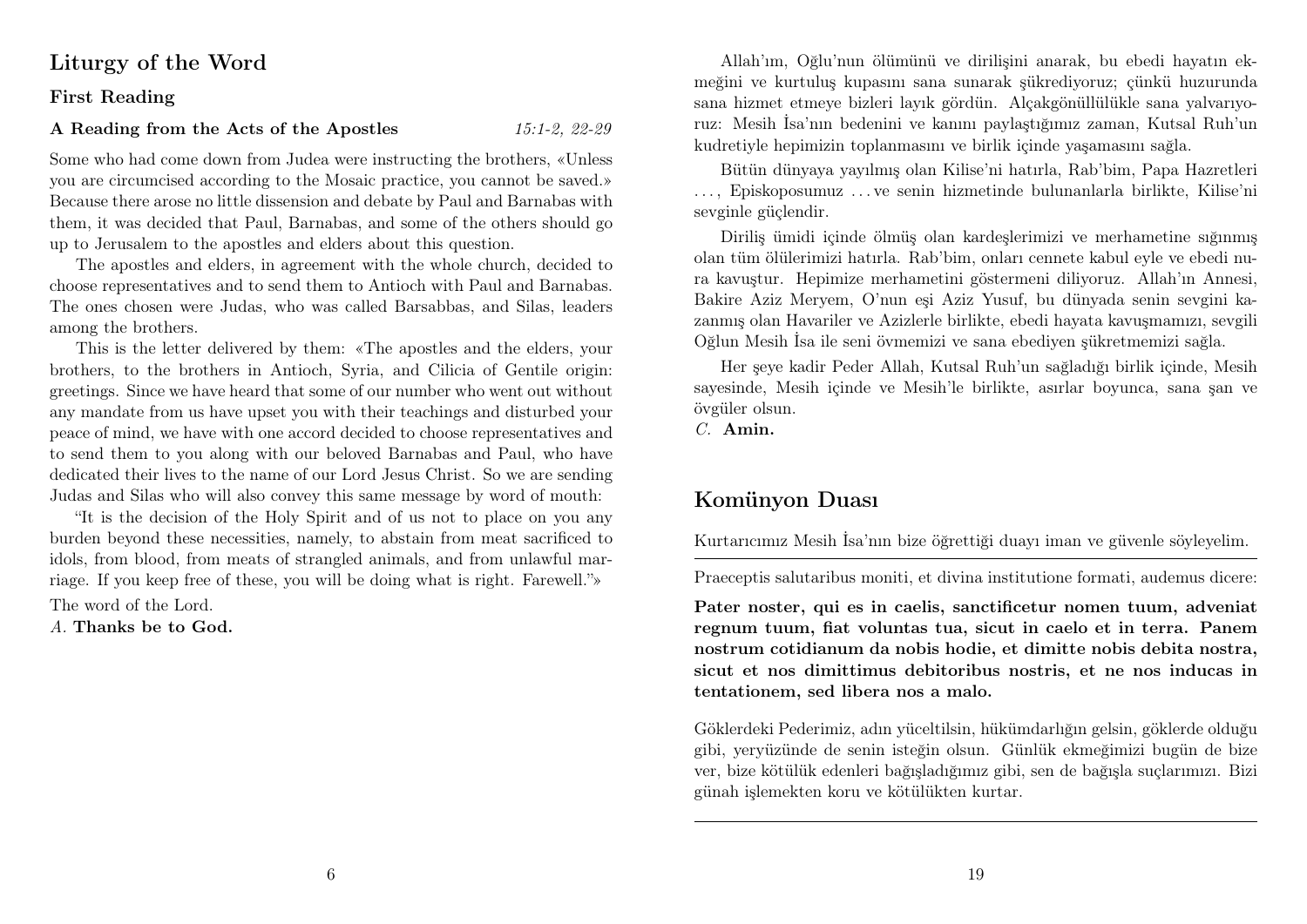# Liturgy of the Word

#### First Reading

#### A Reading from the Acts of the Apostles 15:1-2, 22-29

Some who had come down from Judea were instructing the brothers, «Unless you are circumcised according to the Mosaic practice, you cannot be saved.» Because there arose no little dissension and debate by Paul and Barnabas with them, it was decided that Paul, Barnabas, and some of the others should go up to Jerusalem to the apostles and elders about this question.

The apostles and elders, in agreement with the whole church, decided to choose representatives and to send them to Antioch with Paul and Barnabas. The ones chosen were Judas, who was called Barsabbas, and Silas, leaders among the brothers.

This is the letter delivered by them: «The apostles and the elders, your brothers, to the brothers in Antioch, Syria, and Cilicia of Gentile origin: greetings. Since we have heard that some of our number who went out without any mandate from us have upset you with their teachings and disturbed your peace of mind, we have with one accord decided to choose representatives and to send them to you along with our beloved Barnabas and Paul, who have dedicated their lives to the name of our Lord Jesus Christ. So we are sending Judas and Silas who will also convey this same message by word of mouth:

"It is the decision of the Holy Spirit and of us not to place on you any burden beyond these necessities, namely, to abstain from meat sacrificed to idols, from blood, from meats of strangled animals, and from unlawful marriage. If you keep free of these, you will be doing what is right. Farewell."»

The word of the Lord.

A. Thanks be to God.

Allah'ım, Oğlu'nun ölümünü ve dirilişini anarak, bu ebedi hayatın ekmeğini ve kurtuluş kupasını sana sunarak şükrediyoruz; çünkü huzurunda sana hizmet etmeye bizleri layık gördün. Alçakgönüllülükle sana yalvarıyoruz: Mesih İsa'nın bedenini ve kanını paylaştığımız zaman, Kutsal Ruh'un kudretiyle hepimizin toplanmasını ve birlik içinde yaşamasını sağla.

Bütün dünyaya yayılmış olan Kilise'ni hatırla, Rab'bim, Papa Hazretleri . . . , Episkoposumuz . . . ve senin hizmetinde bulunanlarla birlikte, Kilise'ni sevginle güçlendir.

Diriliş ümidi içinde ölmüş olan kardeşlerimizi ve merhametine sığınmış olan tüm ölülerimizi hatırla. Rab'bim, onları cennete kabul eyle ve ebedi nura kavuştur. Hepimize merhametini göstermeni diliyoruz. Allah'ın Annesi, Bakire Aziz Meryem, O'nun eşi Aziz Yusuf, bu dünyada senin sevgini kazanmış olan Havariler ve Azizlerle birlikte, ebedi hayata kavuşmamızı, sevgili Oğlun Mesih İsa ile seni övmemizi ve sana ebediyen şükretmemizi sağla.

Her şeye kadir Peder Allah, Kutsal Ruh'un sağladığı birlik içinde, Mesih sayesinde, Mesih içinde ve Mesih'le birlikte, asırlar boyunca, sana şan ve övgüler olsun.

C. Amin.

# Komünyon Duası

Kurtarıcımız Mesih İsa'nın bize öğrettiği duayı iman ve güvenle söyleyelim.

Praeceptis salutaribus moniti, et divina institutione formati, audemus dicere:

Pater noster, qui es in caelis, sanctificetur nomen tuum, adveniat regnum tuum, fiat voluntas tua, sicut in caelo et in terra. Panem nostrum cotidianum da nobis hodie, et dimitte nobis debita nostra, sicut et nos dimittimus debitoribus nostris, et ne nos inducas in tentationem, sed libera nos a malo.

Göklerdeki Pederimiz, adın yüceltilsin, hükümdarlığın gelsin, göklerde olduğu gibi, yeryüzünde de senin isteğin olsun. Günlük ekmeğimizi bugün de bize ver, bize kötülük edenleri bağışladığımız gibi, sen de bağışla suçlarımızı. Bizi günah işlemekten koru ve kötülükten kurtar.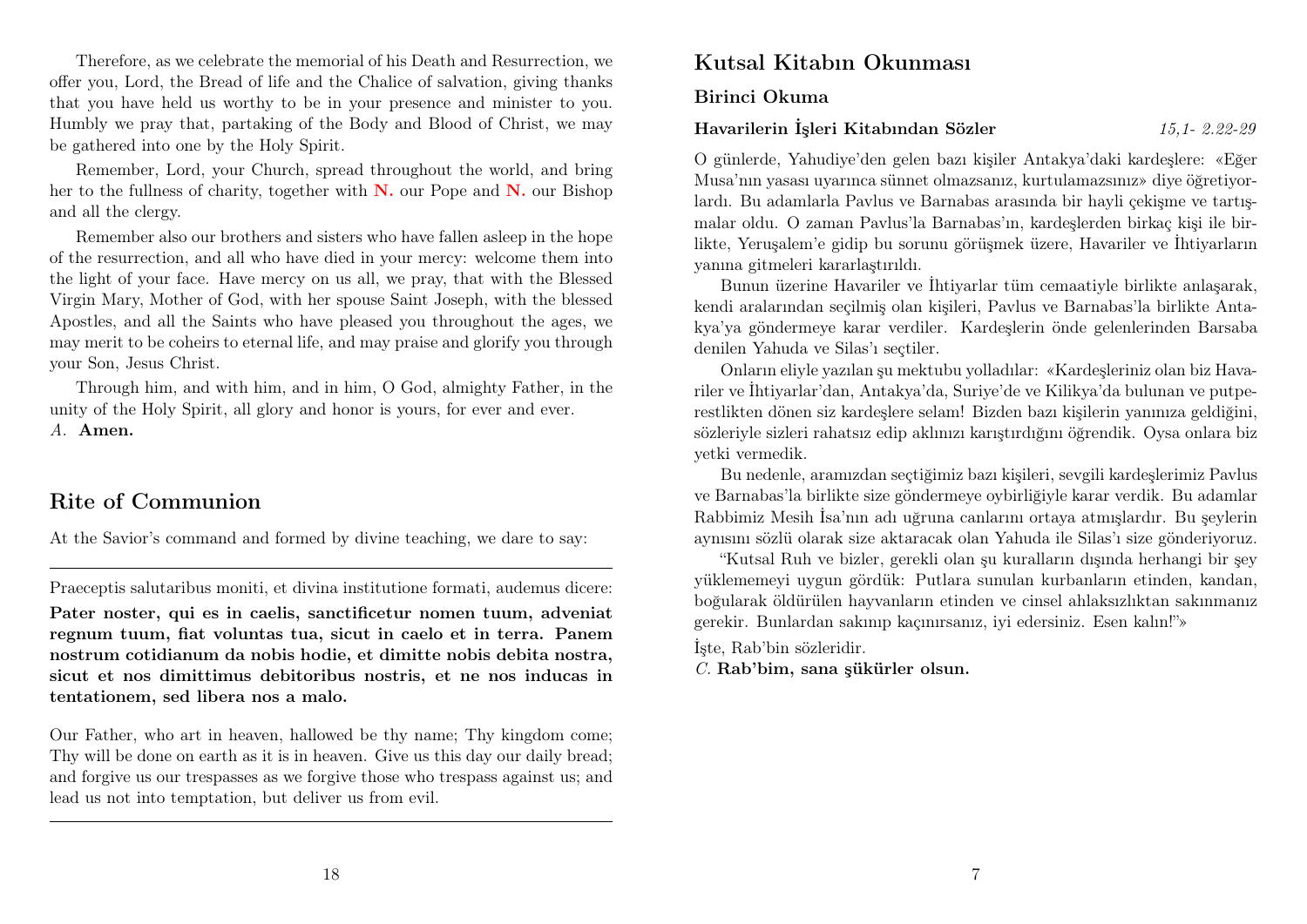Therefore, as we celebrate the memorial of his Death and Resurrection, we offer you, Lord, the Bread of life and the Chalice of salvation, giving thanks that you have held us worthy to be in your presence and minister to you. Humbly we pray that, partaking of the Body and Blood of Christ, we may be gathered into one by the Holy Spirit.

Remember, Lord, your Church, spread throughout the world, and bring her to the fullness of charity, together with  $N$ , our Pope and  $N$ , our Bishop and all the clergy.

Remember also our brothers and sisters who have fallen asleep in the hope of the resurrection, and all who have died in your mercy: welcome them into the light of your face. Have mercy on us all, we pray, that with the Blessed Virgin Mary, Mother of God, with her spouse Saint Joseph, with the blessed Apostles, and all the Saints who have pleased you throughout the ages, we may merit to be coheirs to eternal life, and may praise and glorify you through your Son, Jesus Christ.

Through him, and with him, and in him, O God, almighty Father, in the unity of the Holy Spirit, all glory and honor is yours, for ever and ever. A. Amen.

# Rite of Communion

At the Savior's command and formed by divine teaching, we dare to say:

Praeceptis salutaribus moniti, et divina institutione formati, audemus dicere:

Pater noster, qui es in caelis, sanctificetur nomen tuum, adveniat regnum tuum, fiat voluntas tua, sicut in caelo et in terra. Panem nostrum cotidianum da nobis hodie, et dimitte nobis debita nostra, sicut et nos dimittimus debitoribus nostris, et ne nos inducas in tentationem, sed libera nos a malo.

Our Father, who art in heaven, hallowed be thy name; Thy kingdom come; Thy will be done on earth as it is in heaven. Give us this day our daily bread; and forgive us our trespasses as we forgive those who trespass against us; and lead us not into temptation, but deliver us from evil.

# Kutsal Kitabın Okunması

Birinci Okuma

#### Havarilerin İşleri Kitabından Sözler 15,1- 2.22-29

O günlerde, Yahudiye'den gelen bazı kişiler Antakya'daki kardeşlere: «Eğer Musa'nın yasası uyarınca sünnet olmazsanız, kurtulamazsınız» diye öğretiyorlardı. Bu adamlarla Pavlus ve Barnabas arasında bir hayli çekişme ve tartışmalar oldu. O zaman Pavlus'la Barnabas'ın, kardeşlerden birkaç kişi ile birlikte, Yeruşalem'e gidip bu sorunu görüşmek üzere, Havariler ve İhtiyarların yanına gitmeleri kararlaştırıldı.

Bunun üzerine Havariler ve İhtiyarlar tüm cemaatiyle birlikte anlaşarak, kendi aralarından seçilmiş olan kişileri, Pavlus ve Barnabas'la birlikte Antakya'ya göndermeye karar verdiler. Kardeşlerin önde gelenlerinden Barsaba denilen Yahuda ve Silas'ı seçtiler.

Onların eliyle yazılan şu mektubu yolladılar: «Kardeşleriniz olan biz Havariler ve İhtiyarlar'dan, Antakya'da, Suriye'de ve Kilikya'da bulunan ve putperestlikten dönen siz kardeşlere selam! Bizden bazı kişilerin yanınıza geldiğini, sözleriyle sizleri rahatsız edip aklınızı karıştırdığını öğrendik. Oysa onlara biz yetki vermedik.

Bu nedenle, aramızdan seçtiğimiz bazı kişileri, sevgili kardeşlerimiz Pavlus ve Barnabas'la birlikte size göndermeye oybirliğiyle karar verdik. Bu adamlar Rabbimiz Mesih İsa'nın adı uğruna canlarını ortaya atmışlardır. Bu şeylerin aynısını sözlü olarak size aktaracak olan Yahuda ile Silas'ı size gönderiyoruz.

"Kutsal Ruh ve bizler, gerekli olan şu kuralların dışında herhangi bir şey yüklememeyi uygun gördük: Putlara sunulan kurbanların etinden, kandan, boğularak öldürülen hayvanların etinden ve cinsel ahlaksızlıktan sakınmanız gerekir. Bunlardan sakınıp kaçınırsanız, iyi edersiniz. Esen kalın!"»

İşte, Rab'bin sözleridir.

C. Rab'bim, sana şükürler olsun.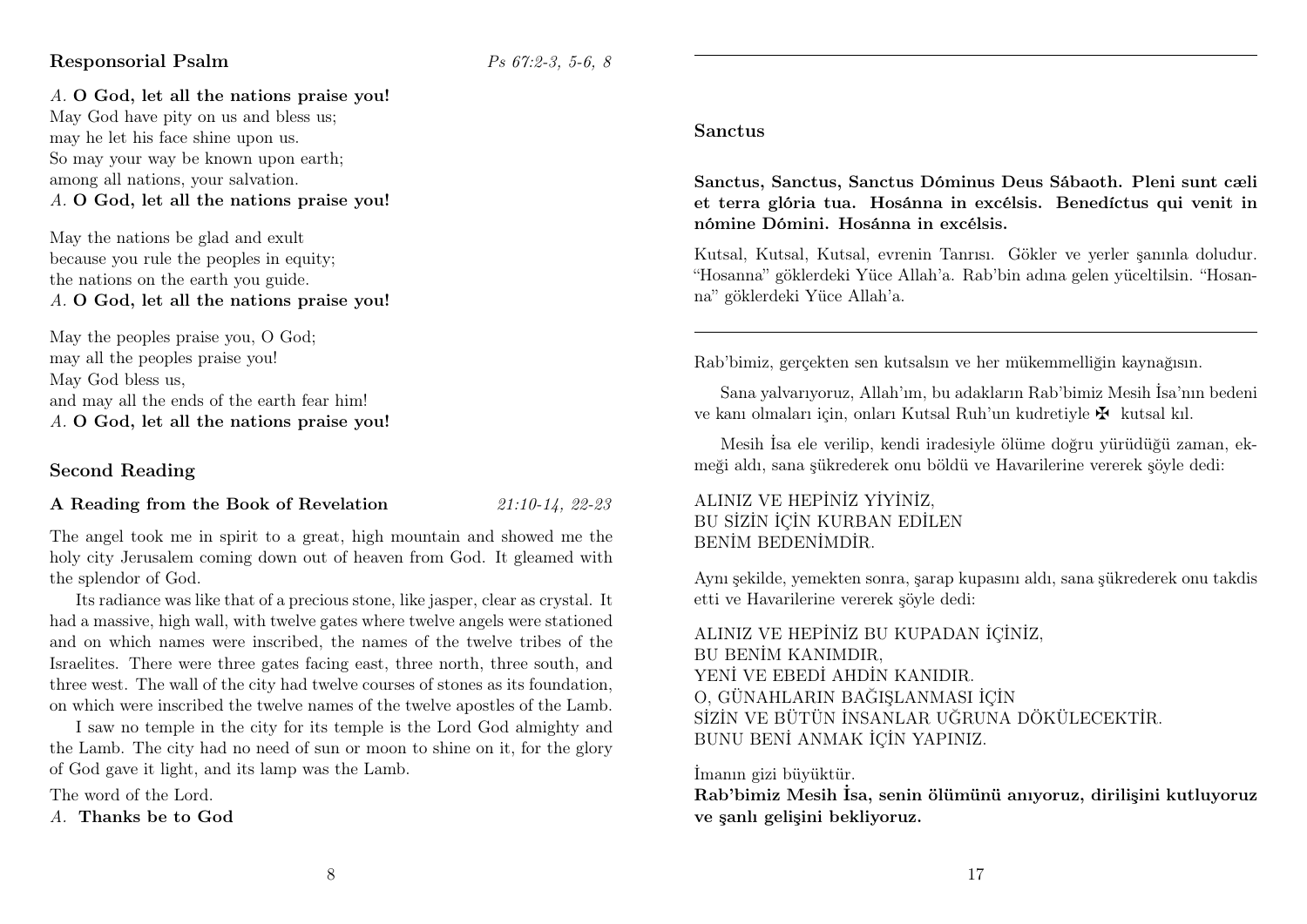#### Responsorial Psalm Psalm Ps 67:2-3, 5-6, 8

A. O God, let all the nations praise you! May God have pity on us and bless us; may he let his face shine upon us. So may your way be known upon earth; among all nations, your salvation. A. O God, let all the nations praise you!

May the nations be glad and exult because you rule the peoples in equity; the nations on the earth you guide. A. O God, let all the nations praise you!

May the peoples praise you, O God; may all the peoples praise you! May God bless us, and may all the ends of the earth fear him! A. O God, let all the nations praise you!

## Second Reading

#### A Reading from the Book of Revelation 21:10-14, 22-23

The angel took me in spirit to a great, high mountain and showed me the holy city Jerusalem coming down out of heaven from God. It gleamed with the splendor of God.

Its radiance was like that of a precious stone, like jasper, clear as crystal. It had a massive, high wall, with twelve gates where twelve angels were stationed and on which names were inscribed, the names of the twelve tribes of the Israelites. There were three gates facing east, three north, three south, and three west. The wall of the city had twelve courses of stones as its foundation, on which were inscribed the twelve names of the twelve apostles of the Lamb.

I saw no temple in the city for its temple is the Lord God almighty and the Lamb. The city had no need of sun or moon to shine on it, for the glory of God gave it light, and its lamp was the Lamb.

The word of the Lord.

A. Thanks be to God

#### Sanctus

Sanctus, Sanctus, Sanctus Dóminus Deus Sábaoth. Pleni sunt cæli et terra glória tua. Hosánna in excélsis. Benedíctus qui venit in nómine Dómini. Hosánna in excélsis.

Kutsal, Kutsal, Kutsal, evrenin Tanrısı. Gökler ve yerler şanınla doludur. "Hosanna" göklerdeki Yüce Allah'a. Rab'bin adına gelen yüceltilsin. "Hosanna" göklerdeki Yüce Allah'a.

Rab'bimiz, gerçekten sen kutsalsın ve her mükemmelliğin kaynağısın.

Sana yalvarıyoruz, Allah'ım, bu adakların Rab'bimiz Mesih İsa'nın bedeni ve kanı olmaları için, onları Kutsal Ruh'un kudretiyle  $\mathbf{\Psi}$  kutsal kıl.

Mesih İsa ele verilip, kendi iradesiyle ölüme doğru yürüdüğü zaman, ekmeği aldı, sana şükrederek onu böldü ve Havarilerine vererek şöyle dedi:

#### ALINIZ VE HEPİNİZ YİYİNİZ, BU SİZİN İÇİN KURBAN EDİLEN BENİM BEDENİMDİR.

Aynı şekilde, yemekten sonra, şarap kupasını aldı, sana şükrederek onu takdis etti ve Havarilerine vererek şöyle dedi:

ALINIZ VE HEPİNİZ BU KUPADAN İÇİNİZ, BU BENİM KANIMDIR, YENİ VE EBEDİ AHDİN KANIDIR. O, GÜNAHLARIN BAĞIŞLANMASI İÇİN SİZİN VE BÜTÜN İNSANLAR UĞRUNA DÖKÜLECEKTİR. BUNU BENİ ANMAK İÇİN YAPINIZ.

İmanın gizi büyüktür.

Rab'bimiz Mesih İsa, senin ölümünü anıyoruz, dirilişini kutluyoruz ve şanlı gelişini bekliyoruz.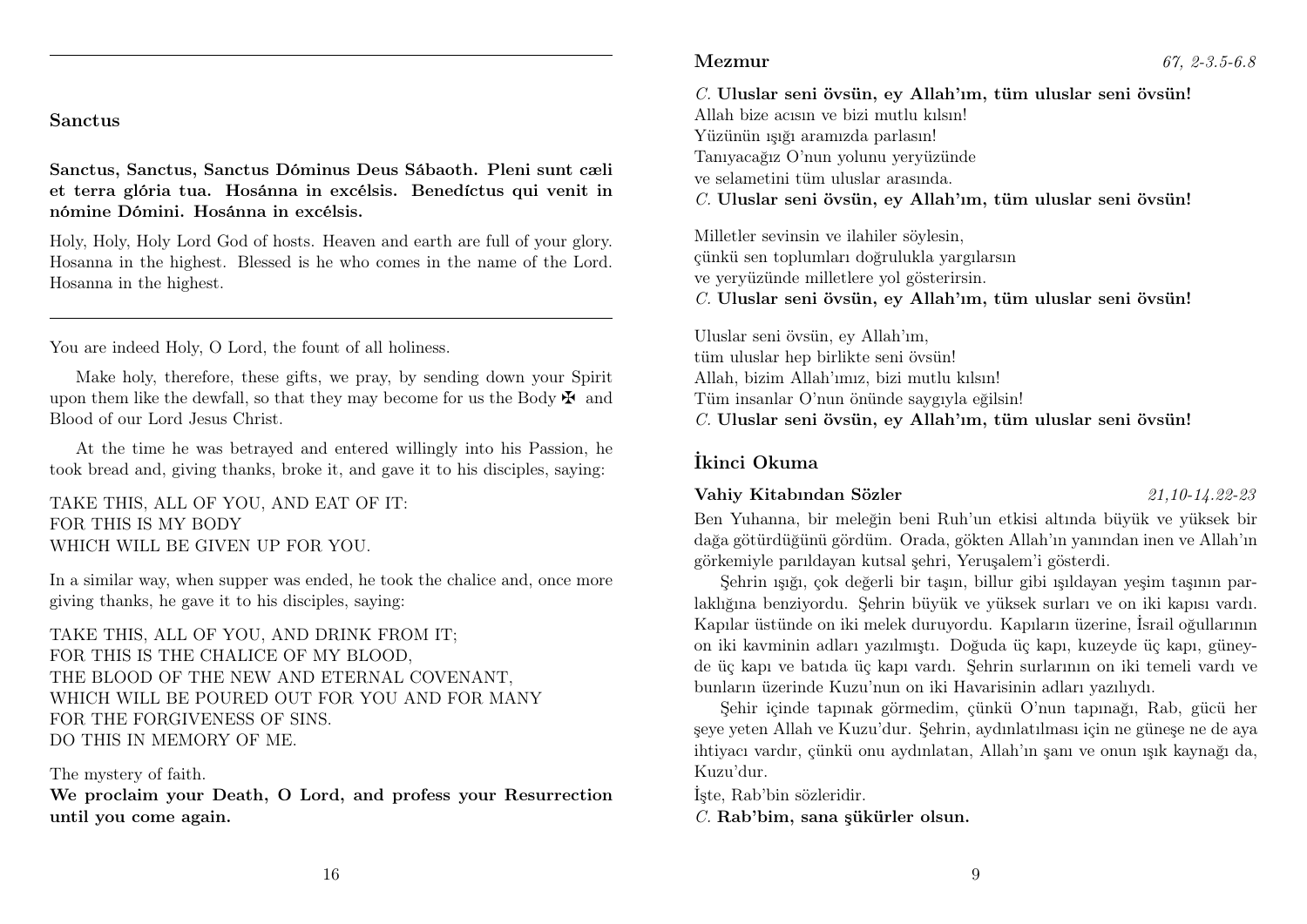#### Sanctus

Sanctus, Sanctus, Sanctus Dóminus Deus Sábaoth. Pleni sunt cæli et terra glória tua. Hosánna in excélsis. Benedíctus qui venit in nómine Dómini. Hosánna in excélsis.

Holy, Holy, Holy Lord God of hosts. Heaven and earth are full of your glory. Hosanna in the highest. Blessed is he who comes in the name of the Lord. Hosanna in the highest.

You are indeed Holy, O Lord, the fount of all holiness.

Make holy, therefore, these gifts, we pray, by sending down your Spirit upon them like the dewfall, so that they may become for us the Body  $\mathbf{\ddot{F}}$  and Blood of our Lord Jesus Christ.

At the time he was betrayed and entered willingly into his Passion, he took bread and, giving thanks, broke it, and gave it to his disciples, saying:

TAKE THIS, ALL OF YOU, AND EAT OF IT: FOR THIS IS MY BODY WHICH WILL BE GIVEN UP FOR YOU.

In a similar way, when supper was ended, he took the chalice and, once more giving thanks, he gave it to his disciples, saying:

TAKE THIS, ALL OF YOU, AND DRINK FROM IT; FOR THIS IS THE CHALICE OF MY BLOOD, THE BLOOD OF THE NEW AND ETERNAL COVENANT, WHICH WILL BE POURED OUT FOR YOU AND FOR MANY FOR THE FORGIVENESS OF SINS. DO THIS IN MEMORY OF ME.

#### The mystery of faith.

We proclaim your Death, O Lord, and profess your Resurrection until you come again.

C. Uluslar seni övsün, ey Allah'ım, tüm uluslar seni övsün! Allah bize acısın ve bizi mutlu kılsın! Yüzünün ışığı aramızda parlasın! Tanıyacağız O'nun yolunu yeryüzünde ve selametini tüm uluslar arasında. C. Uluslar seni övsün, ey Allah'ım, tüm uluslar seni övsün!

Milletler sevinsin ve ilahiler söylesin, çünkü sen toplumları doğrulukla yargılarsın ve yeryüzünde milletlere yol gösterirsin. C. Uluslar seni övsün, ey Allah'ım, tüm uluslar seni övsün!

Uluslar seni övsün, ey Allah'ım, tüm uluslar hep birlikte seni övsün! Allah, bizim Allah'ımız, bizi mutlu kılsın! Tüm insanlar O'nun önünde saygıyla eğilsin! C. Uluslar seni övsün, ey Allah'ım, tüm uluslar seni övsün!

#### İkinci Okuma

#### Vahiy Kitabından Sözler 21,10-14.22-23

Ben Yuhanna, bir meleğin beni Ruh'un etkisi altında büyük ve yüksek bir dağa götürdüğünü gördüm. Orada, gökten Allah'ın yanından inen ve Allah'ın görkemiyle parıldayan kutsal şehri, Yeruşalem'i gösterdi.

Şehrin ışığı, çok değerli bir taşın, billur gibi ışıldayan yeşim taşının parlaklığına benziyordu. Şehrin büyük ve yüksek surları ve on iki kapısı vardı. Kapılar üstünde on iki melek duruyordu. Kapıların üzerine, İsrail oğullarının on iki kavminin adları yazılmıştı. Doğuda üç kapı, kuzeyde üç kapı, güneyde üç kapı ve batıda üç kapı vardı. Şehrin surlarının on iki temeli vardı ve bunların üzerinde Kuzu'nun on iki Havarisinin adları yazılıydı.

Şehir içinde tapınak görmedim, çünkü O'nun tapınağı, Rab, gücü her şeye yeten Allah ve Kuzu'dur. Şehrin, aydınlatılması için ne güneşe ne de aya ihtiyacı vardır, çünkü onu aydınlatan, Allah'ın şanı ve onun ışık kaynağı da, Kuzu'dur.

İşte, Rab'bin sözleridir.

C. Rab'bim, sana şükürler olsun.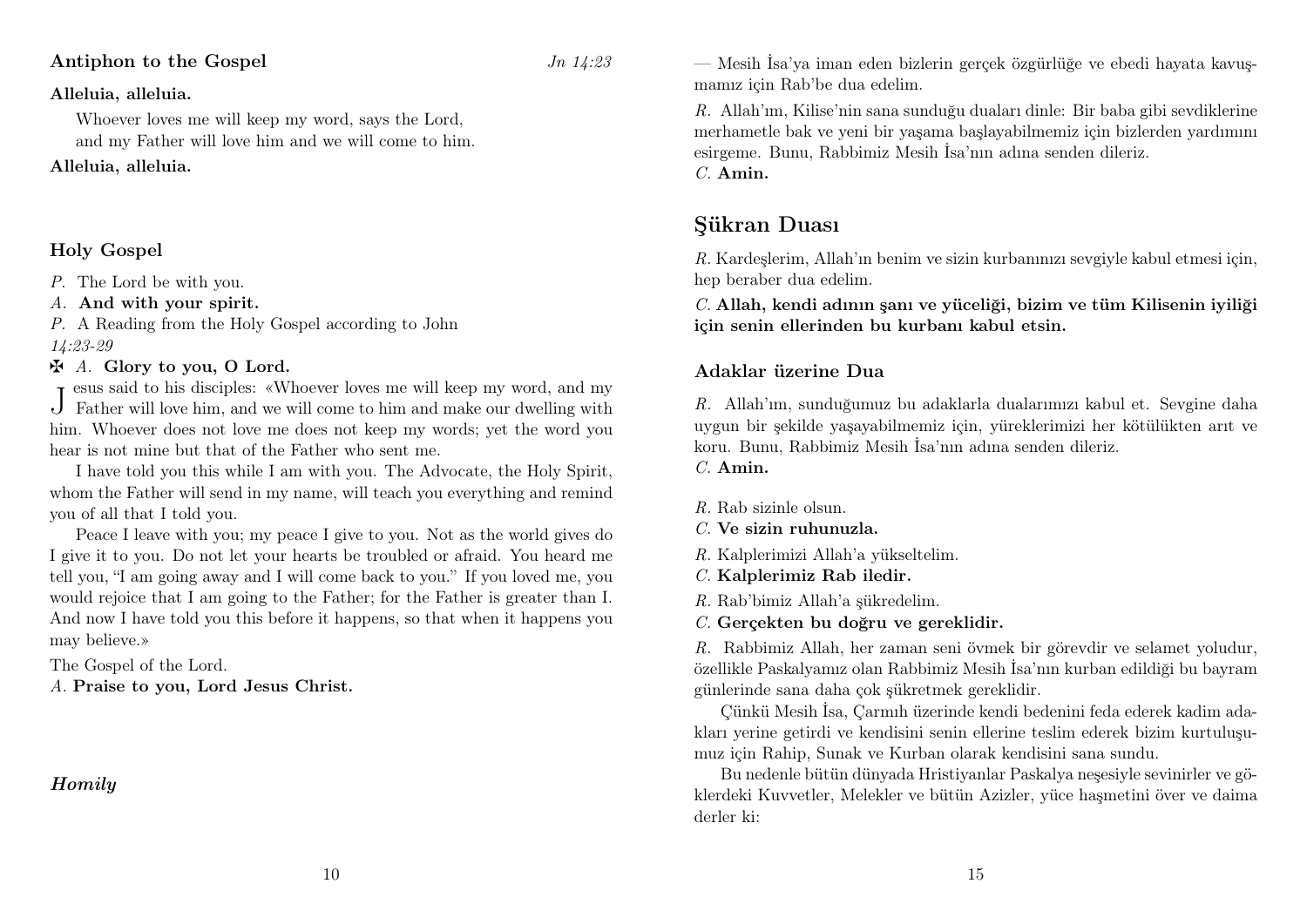#### Antiphon to the Gospel  $J_n$  14:23

#### Alleluia, alleluia.

Whoever loves me will keep my word, says the Lord, and my Father will love him and we will come to him.

#### Alleluia, alleluia.

# Holy Gospel

P. The Lord be with you.

#### A. And with your spirit.

P. A Reading from the Holy Gospel according to John 14:23-29

#### $\mathbf{\ddot{A}}$ . Glory to you, O Lord.

J Father will love him, and we will come to him and make our dwelling with esus said to his disciples: «Whoever loves me will keep my word, and my him. Whoever does not love me does not keep my words; yet the word you hear is not mine but that of the Father who sent me.

I have told you this while I am with you. The Advocate, the Holy Spirit, whom the Father will send in my name, will teach you everything and remind you of all that I told you.

Peace I leave with you; my peace I give to you. Not as the world gives do I give it to you. Do not let your hearts be troubled or afraid. You heard me tell you, "I am going away and I will come back to you." If you loved me, you would rejoice that I am going to the Father; for the Father is greater than I. And now I have told you this before it happens, so that when it happens you may believe.»

10

The Gospel of the Lord.

A. Praise to you, Lord Jesus Christ.

# Homily

— Mesih İsa'ya iman eden bizlerin gerçek özgürlüğe ve ebedi hayata kavuşmamız için Rab'be dua edelim.

R. Allah'ım, Kilise'nin sana sunduğu duaları dinle: Bir baba gibi sevdiklerine merhametle bak ve yeni bir yaşama başlayabilmemiz için bizlerden yardımını esirgeme. Bunu, Rabbimiz Mesih İsa'nın adına senden dileriz. C. Amin.

Şükran Duası

R. Kardeşlerim, Allah'ın benim ve sizin kurbanınızı sevgiyle kabul etmesi için, hep beraber dua edelim.

C. Allah, kendi adının şanı ve yüceliği, bizim ve tüm Kilisenin iyiliği için senin ellerinden bu kurbanı kabul etsin.

#### Adaklar üzerine Dua

R. Allah'ım, sunduğumuz bu adaklarla dualarımızı kabul et. Sevgine daha uygun bir şekilde yaşayabilmemiz için, yüreklerimizi her kötülükten arıt ve koru. Bunu, Rabbimiz Mesih İsa'nın adına senden dileriz.

C. Amin.

 $R$ . Rab sizinle olsun.

C. Ve sizin ruhunuzla.

R. Kalplerimizi Allah'a yükseltelim.

C. Kalplerimiz Rab iledir.

R. Rab'bimiz Allah'a şükredelim.

C. Gerçekten bu doğru ve gereklidir.

R. Rabbimiz Allah, her zaman seni övmek bir görevdir ve selamet yoludur, özellikle Paskalyamız olan Rabbimiz Mesih İsa'nın kurban edildiği bu bayram günlerinde sana daha çok şükretmek gereklidir.

Çünkü Mesih İsa, Çarmıh üzerinde kendi bedenini feda ederek kadim adakları yerine getirdi ve kendisini senin ellerine teslim ederek bizim kurtuluşumuz için Rahip, Sunak ve Kurban olarak kendisini sana sundu.

Bu nedenle bütün dünyada Hristiyanlar Paskalya neşesiyle sevinirler ve göklerdeki Kuvvetler, Melekler ve bütün Azizler, yüce haşmetini över ve daima derler ki: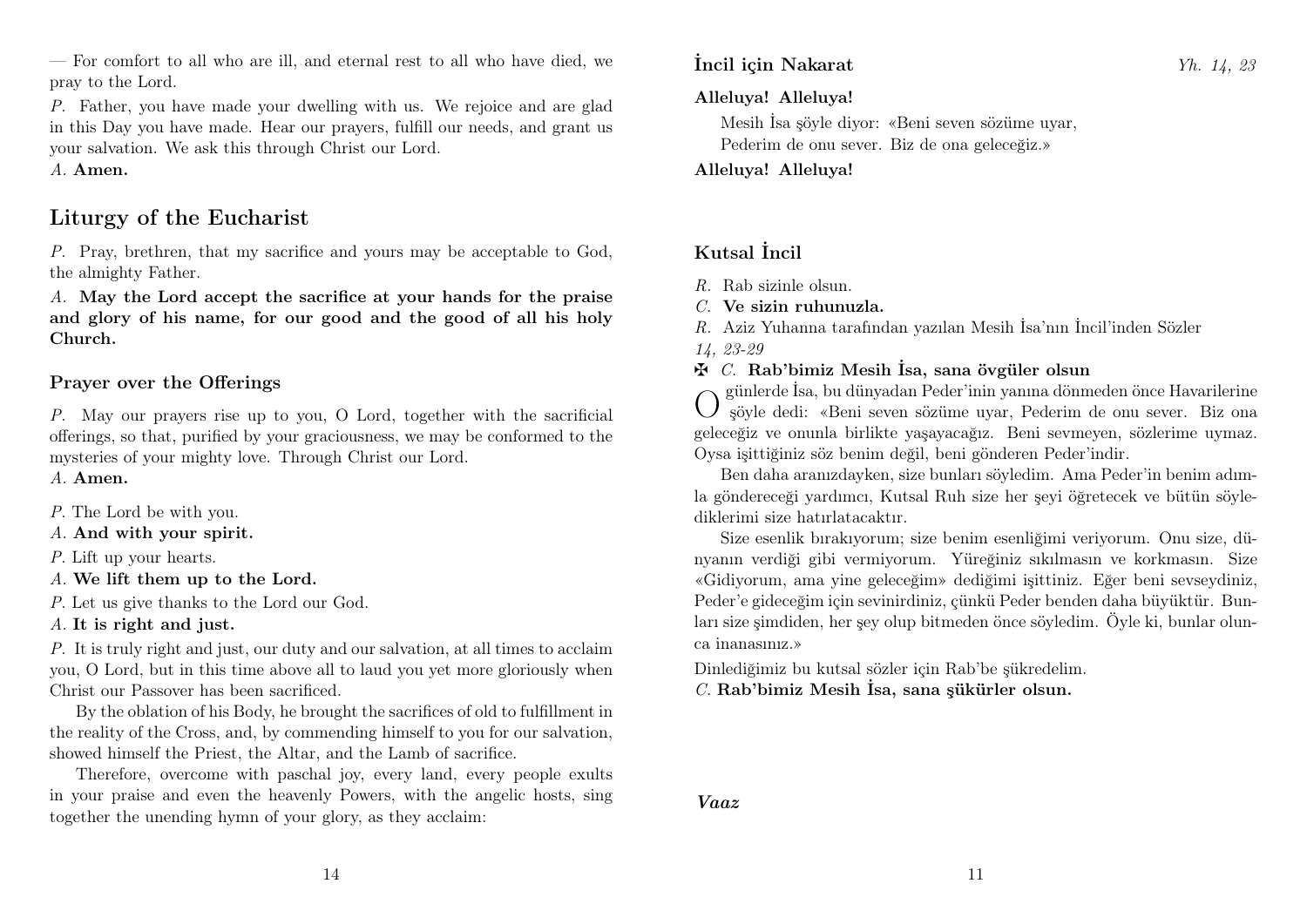— For comfort to all who are ill, and eternal rest to all who have died, we pray to the Lord.

P. Father, you have made your dwelling with us. We rejoice and are glad in this Day you have made. Hear our prayers, fulfill our needs, and grant us your salvation. We ask this through Christ our Lord.

A. Amen.

# Liturgy of the Eucharist

P. Pray, brethren, that my sacrifice and yours may be acceptable to God, the almighty Father.

A. May the Lord accept the sacrifice at your hands for the praise and glory of his name, for our good and the good of all his holy Church.

### Prayer over the Offerings

P. May our prayers rise up to you, O Lord, together with the sacrificial offerings, so that, purified by your graciousness, we may be conformed to the mysteries of your mighty love. Through Christ our Lord.

A. Amen.

- P. The Lord be with you.
- A. And with your spirit.
- P. Lift up your hearts.
- A. We lift them up to the Lord.

P. Let us give thanks to the Lord our God.

A. It is right and just.

P. It is truly right and just, our duty and our salvation, at all times to acclaim you, O Lord, but in this time above all to laud you yet more gloriously when Christ our Passover has been sacrificed.

By the oblation of his Body, he brought the sacrifices of old to fulfillment in the reality of the Cross, and, by commending himself to you for our salvation, showed himself the Priest, the Altar, and the Lamb of sacrifice.

Therefore, overcome with paschal joy, every land, every people exults in your praise and even the heavenly Powers, with the angelic hosts, sing together the unending hymn of your glory, as they acclaim:

#### Alleluya! Alleluya!

Mesih İsa şöyle diyor: «Beni seven sözüme uyar, Pederim de onu sever. Biz de ona geleceğiz.»

Alleluya! Alleluya!

# Kutsal İncil

- R. Rab sizinle olsun.
- C. Ve sizin ruhunuzla.
- R. Aziz Yuhanna tarafından yazılan Mesih İsa'nın İncil'inden Sözler
- 14, 23-29
- $\mathbf{\ddot{F}}$  C. Rab'bimiz Mesih İsa, sana övgüler olsun

O günlerde İsa, bu dünyadan Peder'inin yanına dönmeden önce Havarilerine şöyle dedi: «Beni seven sözüme uyar, Pederim de onu sever. Biz ona geleceğiz ve onunla birlikte yaşayacağız. Beni sevmeyen, sözlerime uymaz. Oysa işittiğiniz söz benim değil, beni gönderen Peder'indir.

Ben daha aranızdayken, size bunları söyledim. Ama Peder'in benim adımla göndereceği yardımcı, Kutsal Ruh size her şeyi öğretecek ve bütün söylediklerimi size hatırlatacaktır.

Size esenlik bırakıyorum; size benim esenliğimi veriyorum. Onu size, dünyanın verdiği gibi vermiyorum. Yüreğiniz sıkılmasın ve korkmasın. Size «Gidiyorum, ama yine geleceğim» dediğimi işittiniz. Eğer beni sevseydiniz, Peder'e gideceğim için sevinirdiniz, çünkü Peder benden daha büyüktür. Bunları size şimdiden, her şey olup bitmeden önce söyledim. Öyle ki, bunlar olunca inanasınız.»

Dinlediğimiz bu kutsal sözler için Rab'be şükredelim.

C. Rab'bimiz Mesih İsa, sana şükürler olsun.

Vaaz